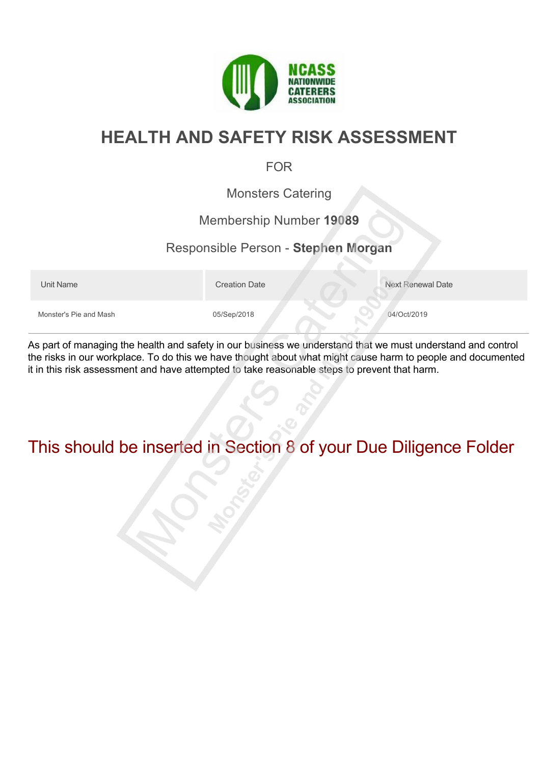

# **HEALTH AND SAFETY RISK ASSESSMENT**

#### FOR

Monsters Catering

#### Membership Number **19089**

#### Responsible Person - **Stephen Morgan**

Unit Name **Next Renewal Date** Creation Date Next Renewal Date Monster's Pie and Mash 05/Sep/2018 06/Sep/2018 04/Oct/2019

As part of managing the health and safety in our business we understand that we must understand and control the risks in our workplace. To do this we have thought about what might cause harm to people and documented it in this risk assessment and have attempted to take reasonable steps to prevent that harm.

# This should be inserted in Section 8 of your Due Diligence Folder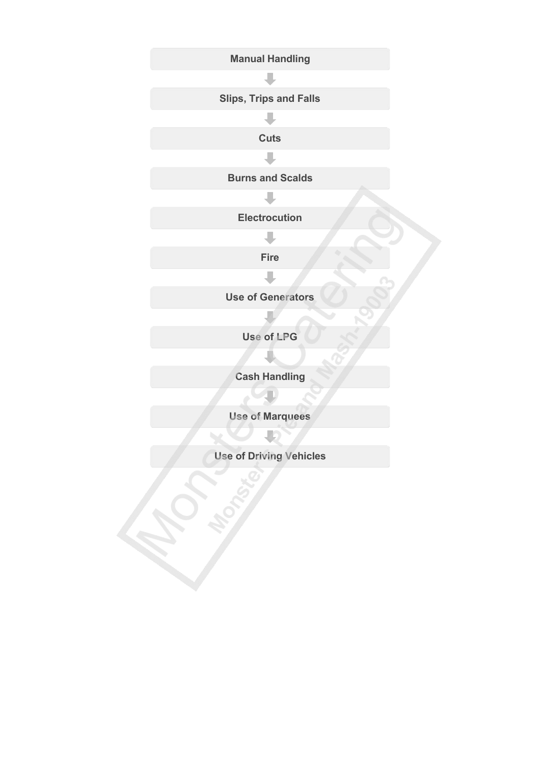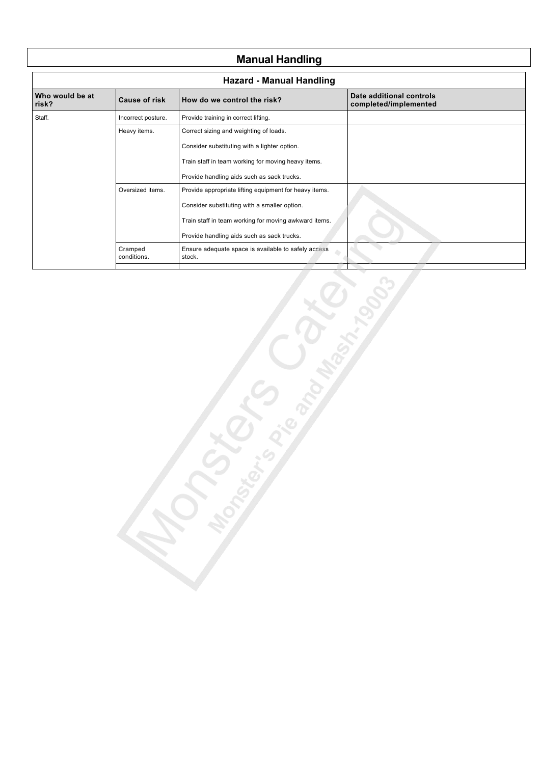# **Manual Handling**

| <b>Hazard - Manual Handling</b> |                        |                                                               |                                                   |
|---------------------------------|------------------------|---------------------------------------------------------------|---------------------------------------------------|
| Who would be at<br>risk?        | <b>Cause of risk</b>   | How do we control the risk?                                   | Date additional controls<br>completed/implemented |
| Staff.                          | Incorrect posture.     | Provide training in correct lifting.                          |                                                   |
|                                 | Heavy items.           | Correct sizing and weighting of loads.                        |                                                   |
|                                 |                        | Consider substituting with a lighter option.                  |                                                   |
|                                 |                        | Train staff in team working for moving heavy items.           |                                                   |
|                                 |                        | Provide handling aids such as sack trucks.                    |                                                   |
|                                 | Oversized items.       | Provide appropriate lifting equipment for heavy items.        |                                                   |
|                                 |                        | Consider substituting with a smaller option.                  |                                                   |
|                                 |                        | Train staff in team working for moving awkward items.         |                                                   |
|                                 |                        | Provide handling aids such as sack trucks.                    |                                                   |
|                                 | Cramped<br>conditions. | Ensure adequate space is available to safely access<br>stock. |                                                   |
|                                 |                        |                                                               |                                                   |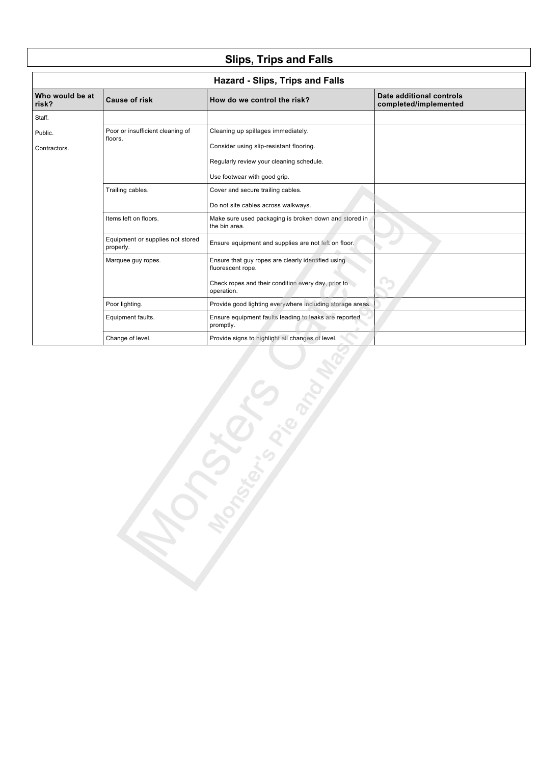# **Slips, Trips and Falls**

| Who would be at<br>risk? | <b>Cause of risk</b>                          | How do we control the risk?                                             | Date additional controls<br>completed/implemented |
|--------------------------|-----------------------------------------------|-------------------------------------------------------------------------|---------------------------------------------------|
| Staff.                   |                                               |                                                                         |                                                   |
| Public.                  | Poor or insufficient cleaning of<br>floors.   | Cleaning up spillages immediately.                                      |                                                   |
| Contractors.             |                                               | Consider using slip-resistant flooring.                                 |                                                   |
|                          |                                               | Regularly review your cleaning schedule.                                |                                                   |
|                          |                                               | Use footwear with good grip.                                            |                                                   |
|                          | Trailing cables.                              | Cover and secure trailing cables.                                       |                                                   |
|                          |                                               | Do not site cables across walkways.                                     |                                                   |
|                          | Items left on floors.                         | Make sure used packaging is broken down and stored in<br>the bin area.  |                                                   |
|                          | Equipment or supplies not stored<br>properly. | Ensure equipment and supplies are not left on floor.                    |                                                   |
|                          | Marquee guy ropes.                            | Ensure that guy ropes are clearly identified using<br>fluorescent rope. |                                                   |
|                          |                                               | Check ropes and their condition every day, prior to<br>operation.       |                                                   |
|                          | Poor lighting.                                | Provide good lighting everywhere including storage areas.               |                                                   |
|                          | Equipment faults.                             | Ensure equipment faults leading to leaks are reported<br>promptly.      |                                                   |
|                          | Change of level.                              | Provide signs to highlight all changes of level.                        |                                                   |
|                          |                                               | <b>LONGER</b>                                                           |                                                   |

D according to the control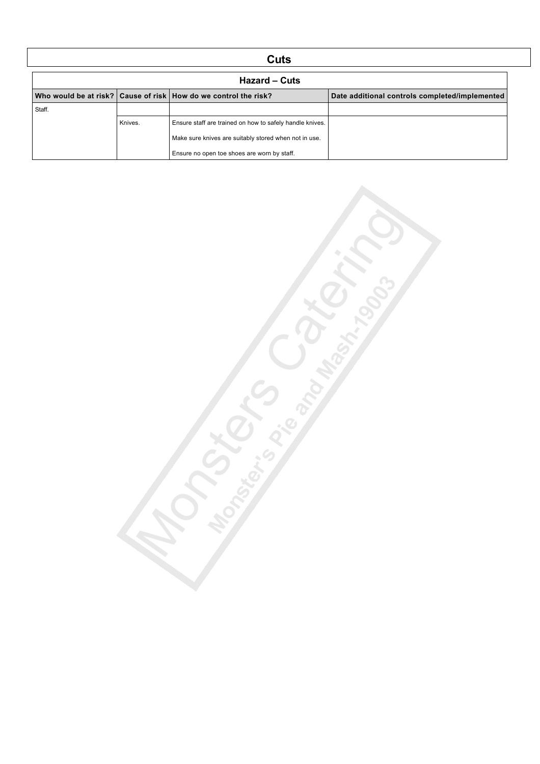### **Cuts**

| Hazard – Cuts                                                       |         |                                                          |                                                |
|---------------------------------------------------------------------|---------|----------------------------------------------------------|------------------------------------------------|
| Who would be at risk?   Cause of risk   How do we control the risk? |         |                                                          | Date additional controls completed/implemented |
| Staff.                                                              |         |                                                          |                                                |
|                                                                     | Knives. | Ensure staff are trained on how to safely handle knives. |                                                |
|                                                                     |         | Make sure knives are suitably stored when not in use.    |                                                |
|                                                                     |         | Ensure no open toe shoes are worn by staff.              |                                                |

omer Grandway City

 $\mathcal{S}_{\mathcal{S}}$ 

**CONSTRUCTION SECTION**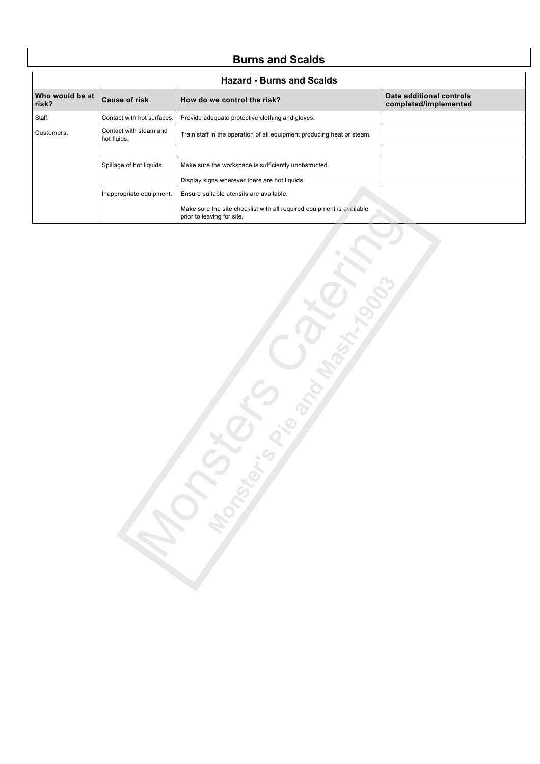### **Burns and Scalds**

| <b>Hazard - Burns and Scalds</b> |                                                                                                                 |                                                                                                     |                                                   |
|----------------------------------|-----------------------------------------------------------------------------------------------------------------|-----------------------------------------------------------------------------------------------------|---------------------------------------------------|
| Who would be at<br>risk?         | <b>Cause of risk</b>                                                                                            | How do we control the risk?                                                                         | Date additional controls<br>completed/implemented |
| Staff.                           | Contact with hot surfaces.                                                                                      | Provide adequate protective clothing and gloves.                                                    |                                                   |
| Customers.                       | Contact with steam and<br>Train staff in the operation of all equipment producing heat or steam.<br>hot fluids. |                                                                                                     |                                                   |
|                                  |                                                                                                                 |                                                                                                     |                                                   |
|                                  | Spillage of hot liquids.                                                                                        | Make sure the workspace is sufficiently unobstructed.                                               |                                                   |
|                                  |                                                                                                                 | Display signs wherever there are hot liquids.                                                       |                                                   |
|                                  | Inappropriate equipment.                                                                                        | Ensure suitable utensils are available.                                                             |                                                   |
|                                  |                                                                                                                 | Make sure the site checklist with all required equipment is available<br>prior to leaving for site. |                                                   |

Censor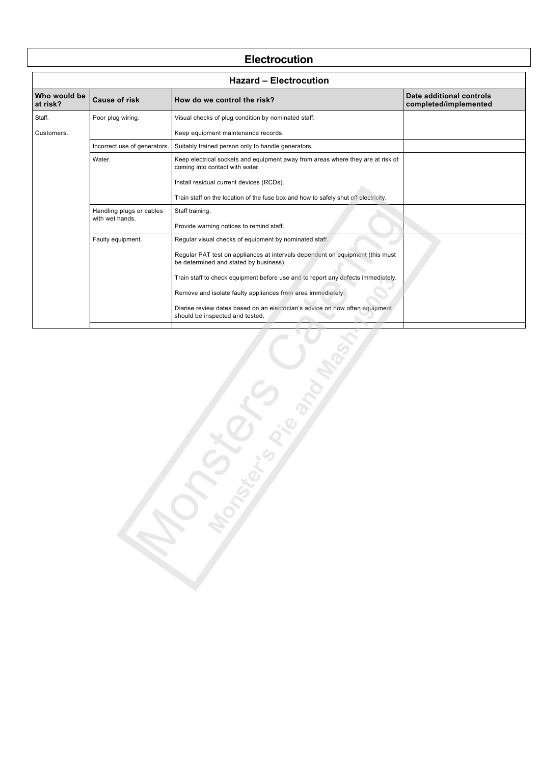#### **Electrocution**

| <b>Hazard - Electrocution</b> |                              |                                                                                                                         |                                                   |
|-------------------------------|------------------------------|-------------------------------------------------------------------------------------------------------------------------|---------------------------------------------------|
| Who would be<br>at risk?      | <b>Cause of risk</b>         | How do we control the risk?                                                                                             | Date additional controls<br>completed/implemented |
| Staff.                        | Poor plug wiring.            | Visual checks of plug condition by nominated staff.                                                                     |                                                   |
| Customers.                    |                              | Keep equipment maintenance records.                                                                                     |                                                   |
|                               | Incorrect use of generators. | Suitably trained person only to handle generators.                                                                      |                                                   |
|                               | Water.                       | Keep electrical sockets and equipment away from areas where they are at risk of<br>coming into contact with water.      |                                                   |
|                               |                              | Install residual current devices (RCDs).                                                                                |                                                   |
|                               |                              | Train staff on the location of the fuse box and how to safely shut off electricity.                                     |                                                   |
|                               | Handling plugs or cables     | Staff training.                                                                                                         |                                                   |
|                               | with wet hands.              | Provide warning notices to remind staff.                                                                                |                                                   |
|                               | Faulty equipment.            | Regular visual checks of equipment by nominated staff.                                                                  |                                                   |
|                               |                              | Regular PAT test on appliances at intervals dependent on equipment (this must<br>be determined and stated by business). |                                                   |
|                               |                              | Train staff to check equipment before use and to report any defects immediately.                                        |                                                   |
|                               |                              | Remove and isolate faulty appliances from area immediately.                                                             |                                                   |
|                               |                              | Diarise review dates based on an electrician's advice on how often equipment<br>should be inspected and tested.         |                                                   |
|                               |                              |                                                                                                                         |                                                   |

D afew and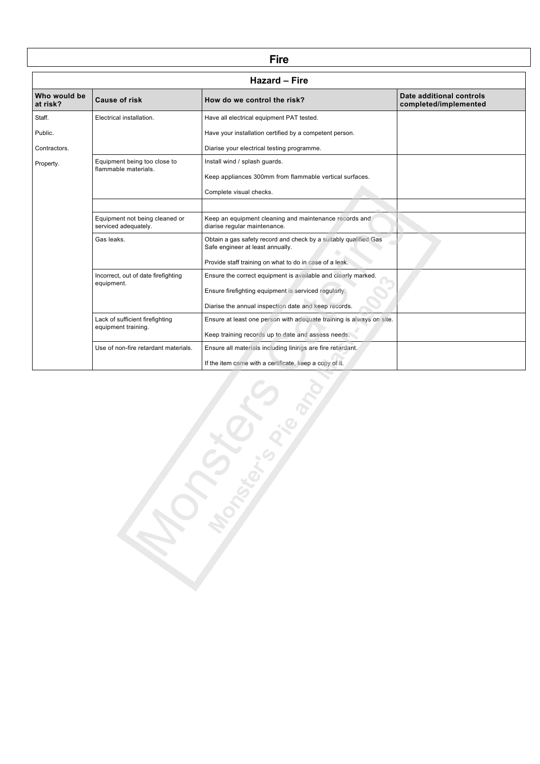| <b>Hazard - Fire</b>     |                                                        |                                                                                                      |                                                   |
|--------------------------|--------------------------------------------------------|------------------------------------------------------------------------------------------------------|---------------------------------------------------|
| Who would be<br>at risk? | <b>Cause of risk</b>                                   | How do we control the risk?                                                                          | Date additional controls<br>completed/implemented |
| Staff.                   | Electrical installation.                               | Have all electrical equipment PAT tested.                                                            |                                                   |
| Public.                  |                                                        | Have your installation certified by a competent person.                                              |                                                   |
| Contractors.             |                                                        | Diarise your electrical testing programme.                                                           |                                                   |
| Property.                | Equipment being too close to<br>flammable materials.   | Install wind / splash guards.                                                                        |                                                   |
|                          |                                                        | Keep appliances 300mm from flammable vertical surfaces.                                              |                                                   |
|                          |                                                        | Complete visual checks.                                                                              |                                                   |
|                          |                                                        |                                                                                                      |                                                   |
|                          | Equipment not being cleaned or<br>serviced adequately. | Keep an equipment cleaning and maintenance records and<br>diarise regular maintenance.               |                                                   |
|                          | Gas leaks.                                             | Obtain a gas safety record and check by a suitably qualified Gas<br>Safe engineer at least annually. |                                                   |
|                          |                                                        | Provide staff training on what to do in case of a leak.                                              |                                                   |
|                          | Incorrect, out of date firefighting<br>equipment.      | Ensure the correct equipment is available and clearly marked.                                        |                                                   |
|                          |                                                        | Ensure firefighting equipment is serviced regularly.                                                 |                                                   |
|                          |                                                        | Diarise the annual inspection date and keep records.                                                 |                                                   |
|                          | Lack of sufficient firefighting                        | Ensure at least one person with adequate training is always on site.                                 |                                                   |
|                          | equipment training.                                    | Keep training records up to date and assess needs.                                                   |                                                   |
|                          | Use of non-fire retardant materials.                   | Ensure all materials including linings are fire retardant.                                           |                                                   |
|                          |                                                        | If the item came with a certificate, keep a copy of it.                                              |                                                   |

**Fire**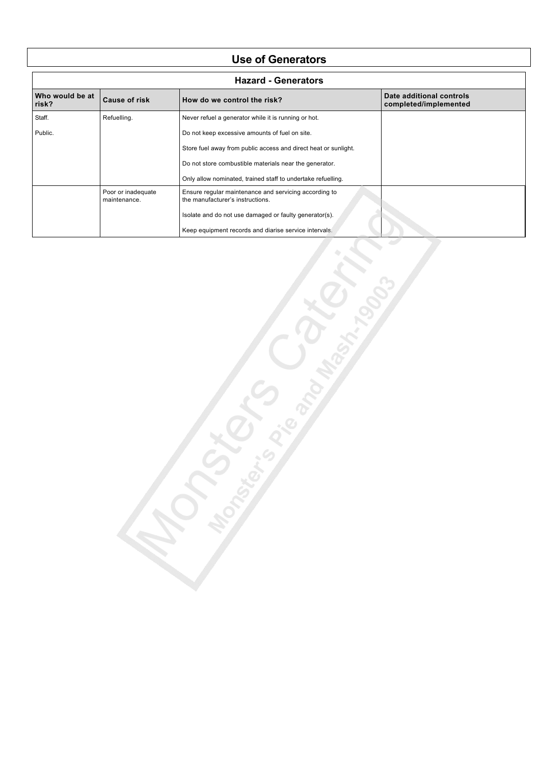#### **Use of Generators**

| <b>Hazard - Generators</b> |                                    |                                                                                           |                                                   |
|----------------------------|------------------------------------|-------------------------------------------------------------------------------------------|---------------------------------------------------|
| Who would be at<br>risk?   | <b>Cause of risk</b>               | How do we control the risk?                                                               | Date additional controls<br>completed/implemented |
| Staff.                     | Refuelling.                        | Never refuel a generator while it is running or hot.                                      |                                                   |
| Public.                    |                                    | Do not keep excessive amounts of fuel on site.                                            |                                                   |
|                            |                                    | Store fuel away from public access and direct heat or sunlight.                           |                                                   |
|                            |                                    | Do not store combustible materials near the generator.                                    |                                                   |
|                            |                                    | Only allow nominated, trained staff to undertake refuelling.                              |                                                   |
|                            | Poor or inadequate<br>maintenance. | Ensure regular maintenance and servicing according to<br>the manufacturer's instructions. |                                                   |
|                            |                                    | Isolate and do not use damaged or faulty generator(s).                                    |                                                   |
|                            |                                    | Keep equipment records and diarise service intervals.                                     |                                                   |

Engineering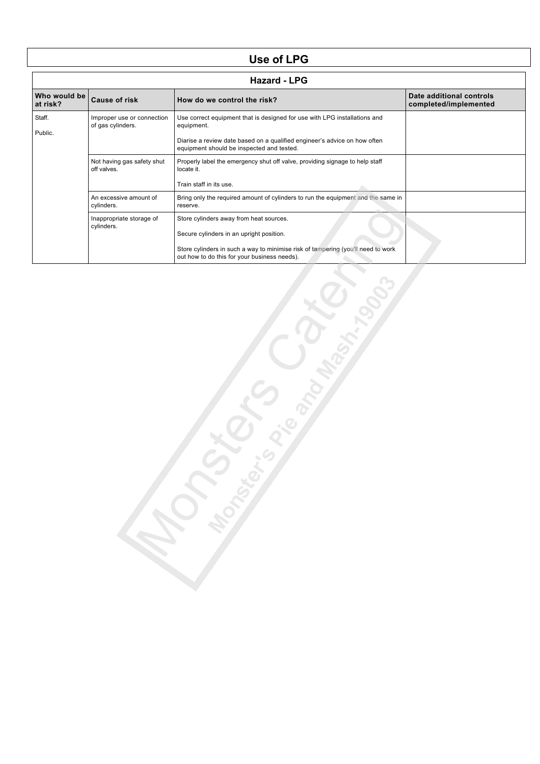# **Use of LPG**

|                          | <b>Hazard - LPG</b>                             |                                                                                                                                                                                                                         |                                                   |  |
|--------------------------|-------------------------------------------------|-------------------------------------------------------------------------------------------------------------------------------------------------------------------------------------------------------------------------|---------------------------------------------------|--|
| Who would be<br>at risk? | <b>Cause of risk</b>                            | How do we control the risk?                                                                                                                                                                                             | Date additional controls<br>completed/implemented |  |
| Staff.<br>Public.        | Improper use or connection<br>of gas cylinders. | Use correct equipment that is designed for use with LPG installations and<br>equipment.<br>Diarise a review date based on a qualified engineer's advice on how often<br>equipment should be inspected and tested.       |                                                   |  |
|                          | Not having gas safety shut<br>off valves.       | Properly label the emergency shut off valve, providing signage to help staff<br>locate it.<br>Train staff in its use.                                                                                                   |                                                   |  |
|                          | An excessive amount of<br>cylinders.            | Bring only the required amount of cylinders to run the equipment and the same in<br>reserve.                                                                                                                            |                                                   |  |
|                          | Inappropriate storage of<br>cylinders.          | Store cylinders away from heat sources.<br>Secure cylinders in an upright position.<br>Store cylinders in such a way to minimise risk of tampering (you'll need to work<br>out how to do this for your business needs). |                                                   |  |

reader of the origin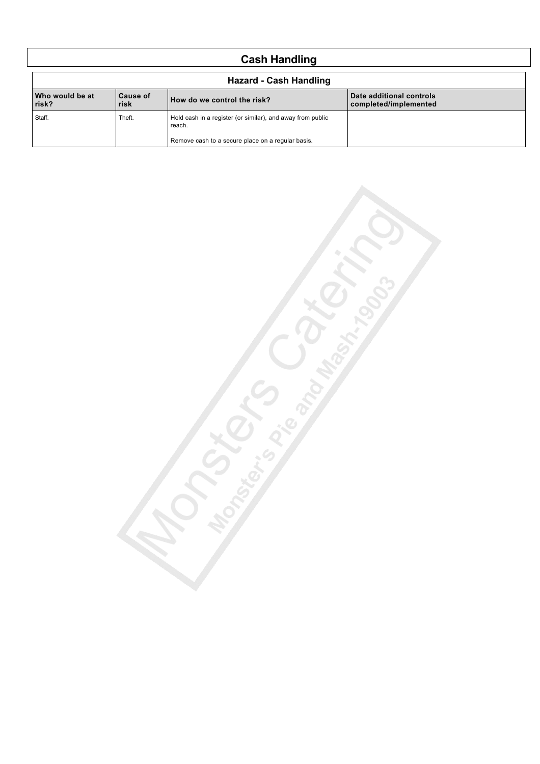# **Cash Handling**

| <b>Hazard - Cash Handling</b> |                  |                                                                      |                                                   |
|-------------------------------|------------------|----------------------------------------------------------------------|---------------------------------------------------|
| Who would be at<br>risk?      | Cause of<br>risk | How do we control the risk?                                          | Date additional controls<br>completed/implemented |
| Staff.                        | Theft.           | Hold cash in a register (or similar), and away from public<br>reach. |                                                   |
|                               |                  | Remove cash to a secure place on a regular basis.                    |                                                   |

**U**<br>Control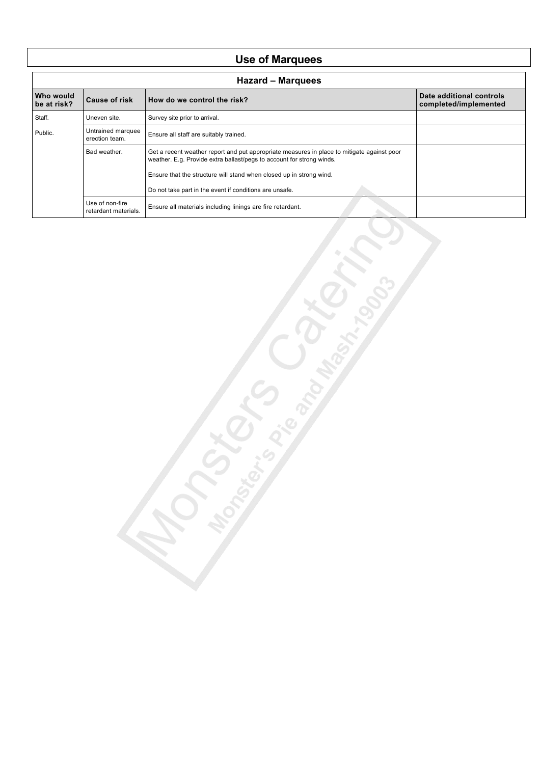# **Use of Marquees**

| <b>Hazard - Marquees</b> |                                                                     |                                                                                                                                                                     |                                                   |  |
|--------------------------|---------------------------------------------------------------------|---------------------------------------------------------------------------------------------------------------------------------------------------------------------|---------------------------------------------------|--|
| Who would<br>be at risk? | <b>Cause of risk</b>                                                | How do we control the risk?                                                                                                                                         | Date additional controls<br>completed/implemented |  |
| Staff.                   | Uneven site.                                                        | Survey site prior to arrival.                                                                                                                                       |                                                   |  |
| Public.                  | Untrained marquee<br>erection team.                                 | Ensure all staff are suitably trained.                                                                                                                              |                                                   |  |
|                          | Bad weather.                                                        | Get a recent weather report and put appropriate measures in place to mitigate against poor<br>weather. E.g. Provide extra ballast/pegs to account for strong winds. |                                                   |  |
|                          | Ensure that the structure will stand when closed up in strong wind. |                                                                                                                                                                     |                                                   |  |
|                          | Do not take part in the event if conditions are unsafe.             |                                                                                                                                                                     |                                                   |  |
|                          | Use of non-fire<br>retardant materials.                             | Ensure all materials including linings are fire retardant.                                                                                                          |                                                   |  |

Sich Congress.